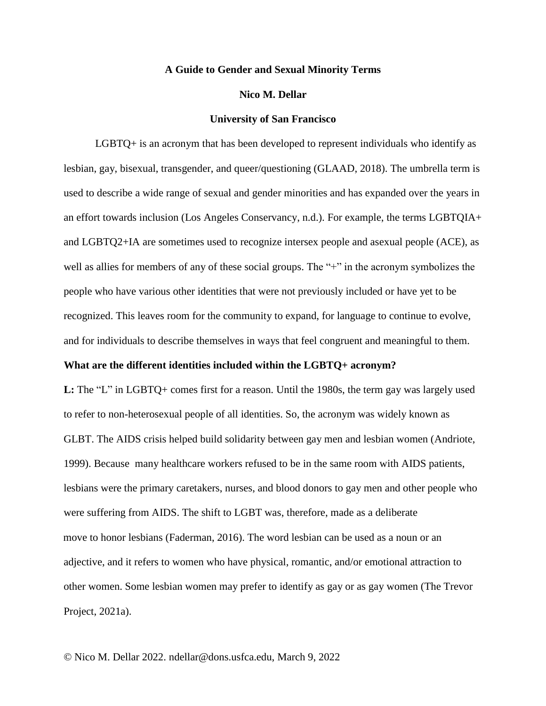### **A Guide to Gender and Sexual Minority Terms**

#### **Nico M. Dellar**

#### **University of San Francisco**

LGBTQ+ is an acronym that has been developed to represent individuals who identify as lesbian, gay, bisexual, transgender, and queer/questioning (GLAAD, 2018). The umbrella term is used to describe a wide range of sexual and gender minorities and has expanded over the years in an effort towards inclusion (Los Angeles Conservancy, n.d.). For example, the terms LGBTQIA+ and LGBTQ2+IA are sometimes used to recognize intersex people and asexual people (ACE), as well as allies for members of any of these social groups. The "+" in the acronym symbolizes the people who have various other identities that were not previously included or have yet to be recognized. This leaves room for the community to expand, for language to continue to evolve, and for individuals to describe themselves in ways that feel congruent and meaningful to them.

### **What are the different identities included within the LGBTQ+ acronym?**

**L:** The "L" in LGBTQ+ comes first for a reason. Until the 1980s, the term gay was largely used to refer to non-heterosexual people of all identities. So, the acronym was widely known as GLBT. The AIDS crisis helped build solidarity between gay men and lesbian women (Andriote, 1999). Because many healthcare workers refused to be in the same room with AIDS patients, lesbians were the primary caretakers, nurses, and blood donors to gay men and other people who were suffering from AIDS. The shift to LGBT was, therefore, made as a deliberate move to honor lesbians (Faderman, 2016). The word lesbian can be used as a noun or an adjective, and it refers to women who have physical, romantic, and/or emotional attraction to other women. Some lesbian women may prefer to identify as gay or as gay women (The Trevor Project, 2021a).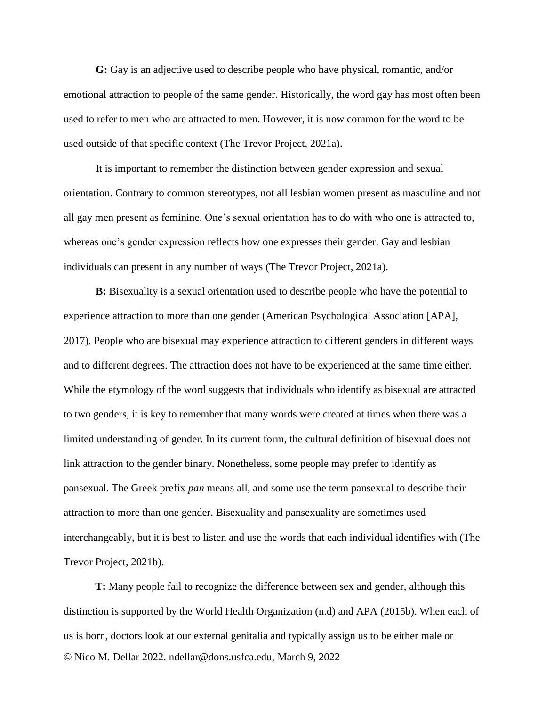**G:** Gay is an adjective used to describe people who have physical, romantic, and/or emotional attraction to people of the same gender. Historically, the word gay has most often been used to refer to men who are attracted to men. However, it is now common for the word to be used outside of that specific context (The Trevor Project, 2021a).

It is important to remember the distinction between gender expression and sexual orientation. Contrary to common stereotypes, not all lesbian women present as masculine and not all gay men present as feminine. One's sexual orientation has to do with who one is attracted to, whereas one's gender expression reflects how one expresses their gender. Gay and lesbian individuals can present in any number of ways (The Trevor Project, 2021a).

**B:** Bisexuality is a sexual orientation used to describe people who have the potential to experience attraction to more than one gender (American Psychological Association [APA], 2017). People who are bisexual may experience attraction to different genders in different ways and to different degrees. The attraction does not have to be experienced at the same time either. While the etymology of the word suggests that individuals who identify as bisexual are attracted to two genders, it is key to remember that many words were created at times when there was a limited understanding of gender. In its current form, the cultural definition of bisexual does not link attraction to the gender binary. Nonetheless, some people may prefer to identify as pansexual. The Greek prefix *pan* means all, and some use the term pansexual to describe their attraction to more than one gender. Bisexuality and pansexuality are sometimes used interchangeably, but it is best to listen and use the words that each individual identifies with (The Trevor Project, 2021b).

© Nico M. Dellar 2022. ndellar@dons.usfca.edu, March 9, 2022 **T:** Many people fail to recognize the difference between sex and gender, although this distinction is supported by the World Health Organization (n.d) and APA (2015b). When each of us is born, doctors look at our external genitalia and typically assign us to be either male or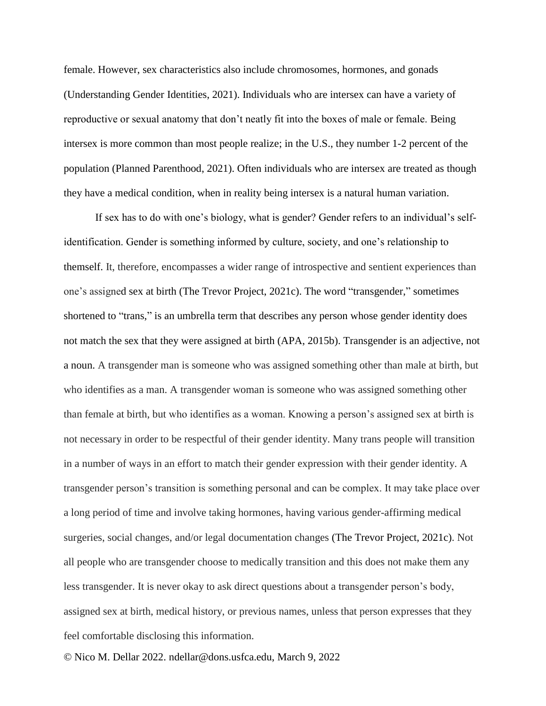female. However, sex characteristics also include chromosomes, hormones, and gonads (Understanding Gender Identities, 2021). Individuals who are intersex can have a variety of reproductive or sexual anatomy that don't neatly fit into the boxes of male or female. Being intersex is more common than most people realize; in the U.S., they number 1-2 percent of the population (Planned Parenthood, 2021). Often individuals who are intersex are treated as though they have a medical condition, when in reality being intersex is a natural human variation.

If sex has to do with one's biology, what is gender? Gender refers to an individual's selfidentification. Gender is something informed by culture, society, and one's relationship to themself. It, therefore, encompasses a wider range of introspective and sentient experiences than one's assigned sex at birth (The Trevor Project, 2021c). The word "transgender," sometimes shortened to "trans," is an umbrella term that describes any person whose gender identity does not match the sex that they were assigned at birth (APA, 2015b). Transgender is an adjective, not a noun. A transgender man is someone who was assigned something other than male at birth, but who identifies as a man. A transgender woman is someone who was assigned something other than female at birth, but who identifies as a woman. Knowing a person's assigned sex at birth is not necessary in order to be respectful of their gender identity. Many trans people will transition in a number of ways in an effort to match their gender expression with their gender identity. A transgender person's transition is something personal and can be complex. It may take place over a long period of time and involve taking hormones, having various gender-affirming medical surgeries, social changes, and/or legal documentation changes (The Trevor Project, 2021c). Not all people who are transgender choose to medically transition and this does not make them any less transgender. It is never okay to ask direct questions about a transgender person's body, assigned sex at birth, medical history, or previous names, unless that person expresses that they feel comfortable disclosing this information.

© Nico M. Dellar 2022. ndellar@dons.usfca.edu, March 9, 2022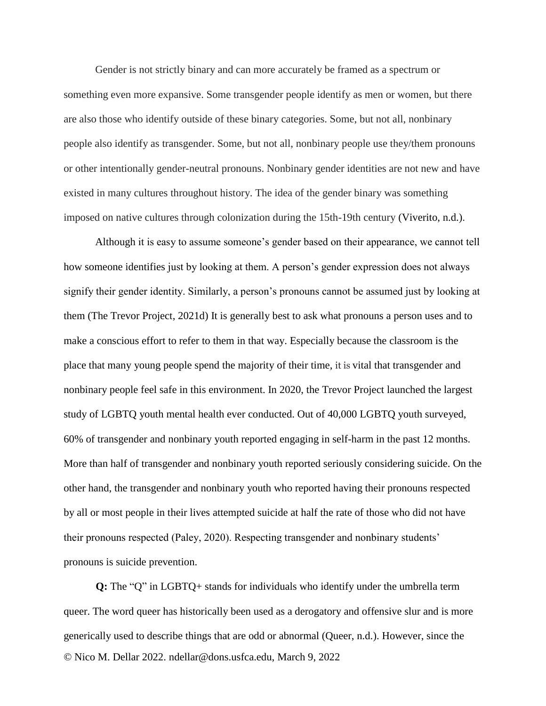Gender is not strictly binary and can more accurately be framed as a spectrum or something even more expansive. Some transgender people identify as men or women, but there are also those who identify outside of these binary categories. Some, but not all, nonbinary people also identify as transgender. Some, but not all, nonbinary people use they/them pronouns or other intentionally gender-neutral pronouns. Nonbinary gender identities are not new and have existed in many cultures throughout history. The idea of the gender binary was something imposed on native cultures through colonization during the 15th-19th century (Viverito, n.d.).

Although it is easy to assume someone's gender based on their appearance, we cannot tell how someone identifies just by looking at them. A person's gender expression does not always signify their gender identity. Similarly, a person's pronouns cannot be assumed just by looking at them (The Trevor Project, 2021d) It is generally best to ask what pronouns a person uses and to make a conscious effort to refer to them in that way. Especially because the classroom is the place that many young people spend the majority of their time, it is vital that transgender and nonbinary people feel safe in this environment. In 2020, the Trevor Project launched the largest study of LGBTQ youth mental health ever conducted. Out of 40,000 LGBTQ youth surveyed, 60% of transgender and nonbinary youth reported engaging in self-harm in the past 12 months. More than half of transgender and nonbinary youth reported seriously considering suicide. On the other hand, the transgender and nonbinary youth who reported having their pronouns respected by all or most people in their lives attempted suicide at half the rate of those who did not have their pronouns respected (Paley, 2020). Respecting transgender and nonbinary students' pronouns is suicide prevention.

© Nico M. Dellar 2022. ndellar@dons.usfca.edu, March 9, 2022 **Q:** The "Q" in LGBTQ+ stands for individuals who identify under the umbrella term queer. The word queer has historically been used as a derogatory and offensive slur and is more generically used to describe things that are odd or abnormal (Queer, n.d.). However, since the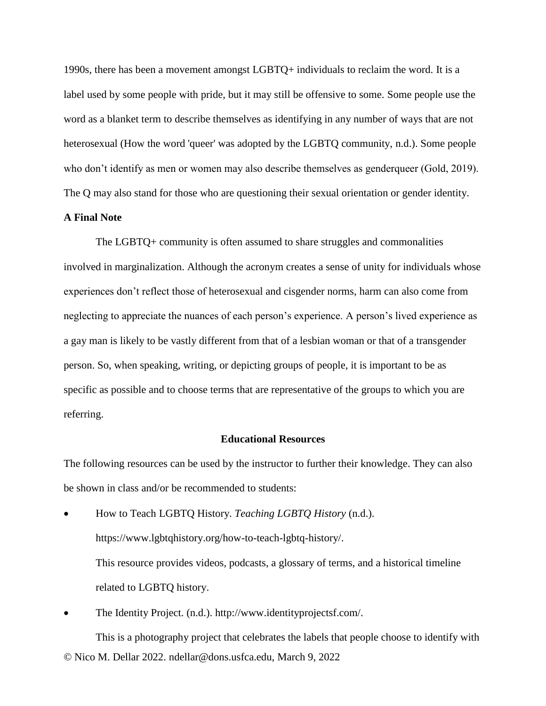1990s, there has been a movement amongst LGBTQ+ individuals to reclaim the word. It is a label used by some people with pride, but it may still be offensive to some. Some people use the word as a blanket term to describe themselves as identifying in any number of ways that are not heterosexual (How the word 'queer' was adopted by the LGBTQ community, n.d.). Some people who don't identify as men or women may also describe themselves as genderqueer (Gold, 2019). The Q may also stand for those who are questioning their sexual orientation or gender identity.

## **A Final Note**

The LGBTQ+ community is often assumed to share struggles and commonalities involved in marginalization. Although the acronym creates a sense of unity for individuals whose experiences don't reflect those of heterosexual and cisgender norms, harm can also come from neglecting to appreciate the nuances of each person's experience. A person's lived experience as a gay man is likely to be vastly different from that of a lesbian woman or that of a transgender person. So, when speaking, writing, or depicting groups of people, it is important to be as specific as possible and to choose terms that are representative of the groups to which you are referring.

# **Educational Resources**

The following resources can be used by the instructor to further their knowledge. They can also be shown in class and/or be recommended to students:

- How to Teach LGBTQ History. *Teaching LGBTQ History* (n.d.). https://www.lgbtqhistory.org/how-to-teach-lgbtq-history/. This resource provides videos, podcasts, a glossary of terms, and a historical timeline related to LGBTQ history.
- The Identity Project. (n.d.). http://www.identityprojectsf.com/.

© Nico M. Dellar 2022. ndellar@dons.usfca.edu, March 9, 2022 This is a photography project that celebrates the labels that people choose to identify with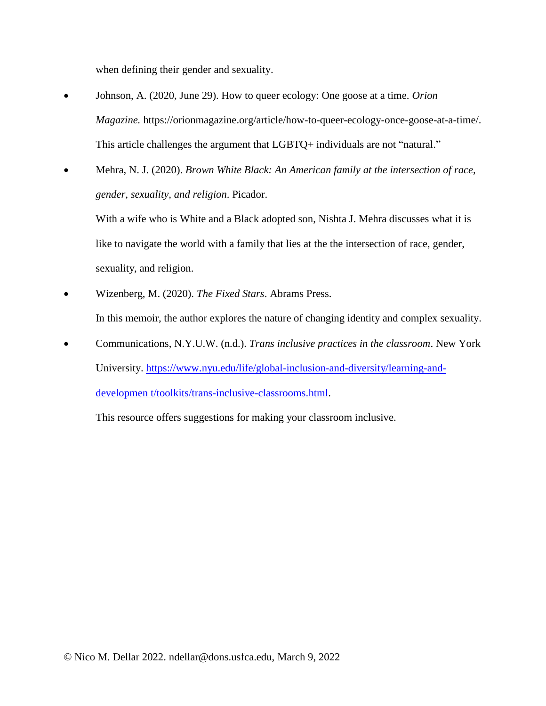when defining their gender and sexuality.

- Johnson, A. (2020, June 29). How to queer ecology: One goose at a time. *Orion Magazine.* https://orionmagazine.org/article/how-to-queer-ecology-once-goose-at-a-time/. This article challenges the argument that LGBTQ+ individuals are not "natural."
- Mehra, N. J. (2020). *Brown White Black: An American family at the intersection of race, gender, sexuality, and religion*. Picador.

With a wife who is White and a Black adopted son, Nishta J. Mehra discusses what it is like to navigate the world with a family that lies at the the intersection of race, gender, sexuality, and religion.

- Wizenberg, M. (2020). *The Fixed Stars*. Abrams Press. In this memoir, the author explores the nature of changing identity and complex sexuality.
- Communications, N.Y.U.W. (n.d.). *Trans inclusive practices in the classroom*. New York University. [https://www.nyu.edu/life/global-inclusion-and-diversity/learning-and](https://www.nyu.edu/life/global-inclusion-and-diversity/learning-and-developmen%20t/toolkits/trans-inclusive-classrooms.html)[developmen t/toolkits/trans-inclusive-classrooms.html.](https://www.nyu.edu/life/global-inclusion-and-diversity/learning-and-developmen%20t/toolkits/trans-inclusive-classrooms.html)

This resource offers suggestions for making your classroom inclusive.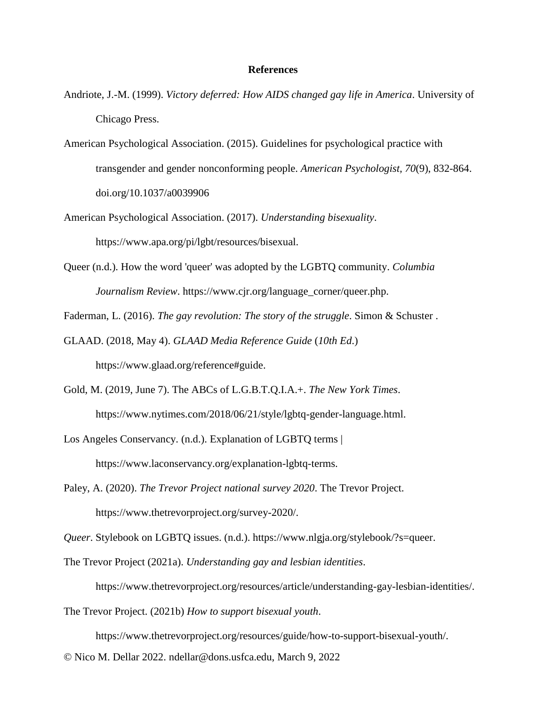### **References**

- Andriote, J.-M. (1999). *Victory deferred: How AIDS changed gay life in America*. University of Chicago Press.
- American Psychological Association. (2015). Guidelines for psychological practice with transgender and gender nonconforming people. *American Psychologist, 70*(9), 832-864. doi.org/10.1037/a0039906
- American Psychological Association. (2017). *Understanding bisexuality*. https://www.apa.org/pi/lgbt/resources/bisexual.
- Queer (n.d.). How the word 'queer' was adopted by the LGBTQ community. *Columbia Journalism Review*. https://www.cjr.org/language\_corner/queer.php.

Faderman, L. (2016). *The gay revolution: The story of the struggle*. Simon & Schuster .

- GLAAD. (2018, May 4). *GLAAD Media Reference Guide* (*10th Ed*.) https://www.glaad.org/reference#guide.
- Gold, M. (2019, June 7). The ABCs of L.G.B.T.Q.I.A.+. *The New York Times*. https://www.nytimes.com/2018/06/21/style/lgbtq-gender-language.html.
- Los Angeles Conservancy. (n.d.). Explanation of LGBTQ terms | https://www.laconservancy.org/explanation-lgbtq-terms.
- Paley, A. (2020). *The Trevor Project national survey 2020*. The Trevor Project. https://www.thetrevorproject.org/survey-2020/.

*Queer*. Stylebook on LGBTQ issues. (n.d.). https://www.nlgja.org/stylebook/?s=queer.

The Trevor Project (2021a). *Understanding gay and lesbian identities*.

https://www.thetrevorproject.org/resources/article/understanding-gay-lesbian-identities/.

The Trevor Project. (2021b) *How to support bisexual youth*.

https://www.thetrevorproject.org/resources/guide/how-to-support-bisexual-youth/.

© Nico M. Dellar 2022. ndellar@dons.usfca.edu, March 9, 2022